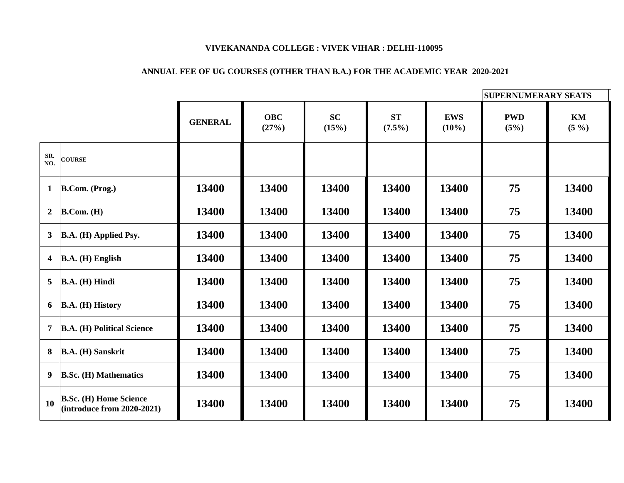|                         |                                                                             | <b>SUPERNUMERARY SEATS</b> |                     |                       |                        |                        |                       |                         |  |
|-------------------------|-----------------------------------------------------------------------------|----------------------------|---------------------|-----------------------|------------------------|------------------------|-----------------------|-------------------------|--|
|                         |                                                                             | <b>GENERAL</b>             | <b>OBC</b><br>(27%) | <b>SC</b><br>$(15\%)$ | <b>ST</b><br>$(7.5\%)$ | <b>EWS</b><br>$(10\%)$ | <b>PWD</b><br>$(5\%)$ | KM<br>$(5 \frac{9}{6})$ |  |
| SR.<br>NO.              | <b>COURSE</b>                                                               |                            |                     |                       |                        |                        |                       |                         |  |
|                         | B. Com. (Prog.)                                                             | 13400                      | 13400               | 13400                 | 13400                  | 13400                  | 75                    | 13400                   |  |
| $\overline{2}$          | B.Com. (H)                                                                  | 13400                      | 13400               | 13400                 | 13400                  | 13400                  | 75                    | 13400                   |  |
| 3 <sup>1</sup>          | B.A. (H) Applied Psy.                                                       | 13400                      | 13400               | 13400                 | 13400                  | 13400                  | 75                    | 13400                   |  |
| $\overline{\mathbf{4}}$ | $ BA. (H)$ English                                                          | 13400                      | 13400               | 13400                 | 13400                  | 13400                  | 75                    | 13400                   |  |
| 5 <sup>1</sup>          | BA. (H) Hindi                                                               | 13400                      | 13400               | 13400                 | 13400                  | 13400                  | 75                    | 13400                   |  |
| 6                       | B.A. (H) History                                                            | 13400                      | 13400               | 13400                 | 13400                  | 13400                  | 75                    | 13400                   |  |
| $\overline{\mathbf{7}}$ | <b>B.A. (H) Political Science</b>                                           | 13400                      | 13400               | 13400                 | 13400                  | 13400                  | 75                    | 13400                   |  |
| 8                       | <b>B.A. (H) Sanskrit</b>                                                    | 13400                      | 13400               | 13400                 | 13400                  | 13400                  | 75                    | 13400                   |  |
| 9                       | <b>B.Sc. (H) Mathematics</b>                                                | 13400                      | 13400               | 13400                 | 13400                  | 13400                  | 75                    | 13400                   |  |
| 10                      | <b>B.Sc. (H) Home Science</b><br>$\left  \right($ introduce from 2020-2021) | 13400                      | 13400               | 13400                 | 13400                  | 13400                  | 75                    | 13400                   |  |

## **ANNUAL FEE OF UG COURSES (OTHER THAN B.A.) FOR THE ACADEMIC YEAR 2020-2021**

## **VIVEKANANDA COLLEGE : VIVEK VIHAR : DELHI-110095**